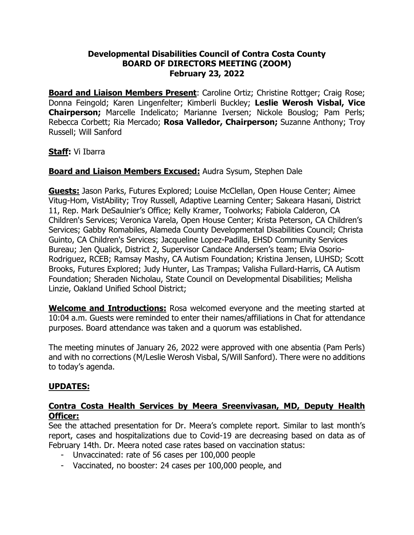### **Developmental Disabilities Council of Contra Costa County BOARD OF DIRECTORS MEETING (ZOOM) February 23, 2022**

**Board and Liaison Members Present:** Caroline Ortiz; Christine Rottger; Craig Rose; Donna Feingold; Karen Lingenfelter; Kimberli Buckley; **Leslie Werosh Visbal, Vice Chairperson;** Marcelle Indelicato; Marianne Iversen; Nickole Bouslog; Pam Perls; Rebecca Corbett; Ria Mercado; **Rosa Valledor, Chairperson;** Suzanne Anthony; Troy Russell; Will Sanford

### **Staff:** Vi Ibarra

### **Board and Liaison Members Excused:** Audra Sysum, Stephen Dale

**Guests:** Jason Parks, Futures Explored; Louise McClellan, Open House Center; Aimee Vitug-Hom, VistAbility; Troy Russell, Adaptive Learning Center; Sakeara Hasani, District 11, Rep. Mark DeSaulnier's Office; Kelly Kramer, Toolworks; Fabiola Calderon, CA Children's Services; Veronica Varela, Open House Center; Krista Peterson, CA Children's Services; Gabby Romabiles, Alameda County Developmental Disabilities Council; Christa Guinto, CA Children's Services; Jacqueline Lopez-Padilla, EHSD Community Services Bureau; Jen Qualick, District 2, Supervisor Candace Andersen's team; Elvia Osorio-Rodriguez, RCEB; Ramsay Mashy, CA Autism Foundation; Kristina Jensen, LUHSD; Scott Brooks, Futures Explored; Judy Hunter, Las Trampas; Valisha Fullard-Harris, CA Autism Foundation; Sheraden Nicholau, State Council on Developmental Disabilities; Melisha Linzie, Oakland Unified School District;

**Welcome and Introductions:** Rosa welcomed everyone and the meeting started at 10:04 a.m. Guests were reminded to enter their names/affiliations in Chat for attendance purposes. Board attendance was taken and a quorum was established.

The meeting minutes of January 26, 2022 were approved with one absentia (Pam Perls) and with no corrections (M/Leslie Werosh Visbal, S/Will Sanford). There were no additions to today's agenda.

### **UPDATES:**

### **Contra Costa Health Services by Meera Sreenvivasan, MD, Deputy Health Officer:**

See the attached presentation for Dr. Meera's complete report. Similar to last month's report, cases and hospitalizations due to Covid-19 are decreasing based on data as of February 14th. Dr. Meera noted case rates based on vaccination status:

- Unvaccinated: rate of 56 cases per 100,000 people
- Vaccinated, no booster: 24 cases per 100,000 people, and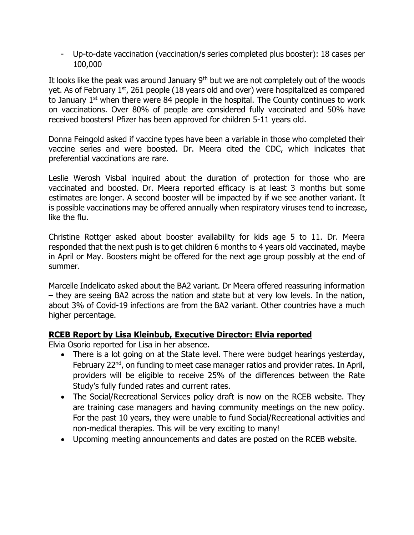- Up-to-date vaccination (vaccination/s series completed plus booster): 18 cases per 100,000

It looks like the peak was around January  $9<sup>th</sup>$  but we are not completely out of the woods yet. As of February  $1<sup>st</sup>$ , 261 people (18 years old and over) were hospitalized as compared to January  $1<sup>st</sup>$  when there were 84 people in the hospital. The County continues to work on vaccinations. Over 80% of people are considered fully vaccinated and 50% have received boosters! Pfizer has been approved for children 5-11 years old.

Donna Feingold asked if vaccine types have been a variable in those who completed their vaccine series and were boosted. Dr. Meera cited the CDC, which indicates that preferential vaccinations are rare.

Leslie Werosh Visbal inquired about the duration of protection for those who are vaccinated and boosted. Dr. Meera reported efficacy is at least 3 months but some estimates are longer. A second booster will be impacted by if we see another variant. It is possible vaccinations may be offered annually when respiratory viruses tend to increase, like the flu.

Christine Rottger asked about booster availability for kids age 5 to 11. Dr. Meera responded that the next push is to get children 6 months to 4 years old vaccinated, maybe in April or May. Boosters might be offered for the next age group possibly at the end of summer.

Marcelle Indelicato asked about the BA2 variant. Dr Meera offered reassuring information – they are seeing BA2 across the nation and state but at very low levels. In the nation, about 3% of Covid-19 infections are from the BA2 variant. Other countries have a much higher percentage.

### **RCEB Report by Lisa Kleinbub, Executive Director: Elvia reported**

Elvia Osorio reported for Lisa in her absence.

- There is a lot going on at the State level. There were budget hearings yesterday, February 22<sup>nd</sup>, on funding to meet case manager ratios and provider rates. In April, providers will be eligible to receive 25% of the differences between the Rate Study's fully funded rates and current rates.
- The Social/Recreational Services policy draft is now on the RCEB website. They are training case managers and having community meetings on the new policy. For the past 10 years, they were unable to fund Social/Recreational activities and non-medical therapies. This will be very exciting to many!
- Upcoming meeting announcements and dates are posted on the RCEB website.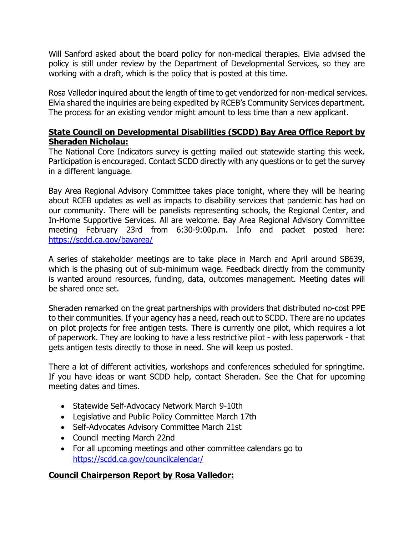Will Sanford asked about the board policy for non-medical therapies. Elvia advised the policy is still under review by the Department of Developmental Services, so they are working with a draft, which is the policy that is posted at this time.

Rosa Valledor inquired about the length of time to get vendorized for non-medical services. Elvia shared the inquiries are being expedited by RCEB's Community Services department. The process for an existing vendor might amount to less time than a new applicant.

### **State Council on Developmental Disabilities (SCDD) Bay Area Office Report by Sheraden Nicholau:**

The National Core Indicators survey is getting mailed out statewide starting this week. Participation is encouraged. Contact SCDD directly with any questions or to get the survey in a different language.

Bay Area Regional Advisory Committee takes place tonight, where they will be hearing about RCEB updates as well as impacts to disability services that pandemic has had on our community. There will be panelists representing schools, the Regional Center, and In-Home Supportive Services. All are welcome. Bay Area Regional Advisory Committee meeting February 23rd from 6:30-9:00p.m. Info and packet posted here: <https://scdd.ca.gov/bayarea/>

A series of stakeholder meetings are to take place in March and April around SB639, which is the phasing out of sub-minimum wage. Feedback directly from the community is wanted around resources, funding, data, outcomes management. Meeting dates will be shared once set.

Sheraden remarked on the great partnerships with providers that distributed no-cost PPE to their communities. If your agency has a need, reach out to SCDD. There are no updates on pilot projects for free antigen tests. There is currently one pilot, which requires a lot of paperwork. They are looking to have a less restrictive pilot - with less paperwork - that gets antigen tests directly to those in need. She will keep us posted.

There a lot of different activities, workshops and conferences scheduled for springtime. If you have ideas or want SCDD help, contact Sheraden. See the Chat for upcoming meeting dates and times.

- Statewide Self-Advocacy Network March 9-10th
- Legislative and Public Policy Committee March 17th
- Self-Advocates Advisory Committee March 21st
- Council meeting March 22nd
- For all upcoming meetings and other committee calendars go to <https://scdd.ca.gov/councilcalendar/>

# **Council Chairperson Report by Rosa Valledor:**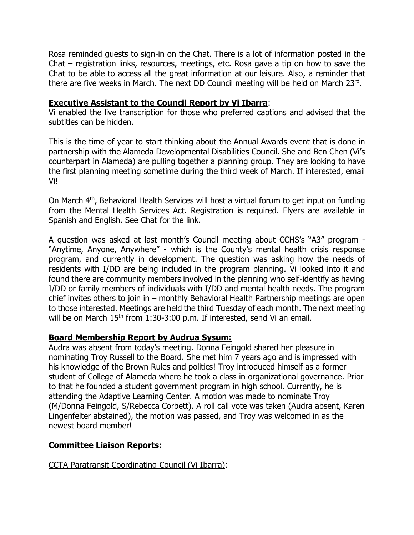Rosa reminded guests to sign-in on the Chat. There is a lot of information posted in the Chat – registration links, resources, meetings, etc. Rosa gave a tip on how to save the Chat to be able to access all the great information at our leisure. Also, a reminder that there are five weeks in March. The next DD Council meeting will be held on March 23rd.

#### **Executive Assistant to the Council Report by Vi Ibarra**:

Vi enabled the live transcription for those who preferred captions and advised that the subtitles can be hidden.

This is the time of year to start thinking about the Annual Awards event that is done in partnership with the Alameda Developmental Disabilities Council. She and Ben Chen (Vi's counterpart in Alameda) are pulling together a planning group. They are looking to have the first planning meeting sometime during the third week of March. If interested, email Vi!

On March 4<sup>th</sup>, Behavioral Health Services will host a virtual forum to get input on funding from the Mental Health Services Act. Registration is required. Flyers are available in Spanish and English. See Chat for the link.

A question was asked at last month's Council meeting about CCHS's "A3" program - "Anytime, Anyone, Anywhere" - which is the County's mental health crisis response program, and currently in development. The question was asking how the needs of residents with I/DD are being included in the program planning. Vi looked into it and found there are community members involved in the planning who self-identify as having I/DD or family members of individuals with I/DD and mental health needs. The program chief invites others to join in – monthly Behavioral Health Partnership meetings are open to those interested. Meetings are held the third Tuesday of each month. The next meeting will be on March  $15<sup>th</sup>$  from 1:30-3:00 p.m. If interested, send Vi an email.

### **Board Membership Report by Audrua Sysum:**

Audra was absent from today's meeting. Donna Feingold shared her pleasure in nominating Troy Russell to the Board. She met him 7 years ago and is impressed with his knowledge of the Brown Rules and politics! Troy introduced himself as a former student of College of Alameda where he took a class in organizational governance. Prior to that he founded a student government program in high school. Currently, he is attending the Adaptive Learning Center. A motion was made to nominate Troy (M/Donna Feingold, S/Rebecca Corbett). A roll call vote was taken (Audra absent, Karen Lingenfelter abstained), the motion was passed, and Troy was welcomed in as the newest board member!

### **Committee Liaison Reports:**

#### CCTA Paratransit Coordinating Council (Vi Ibarra):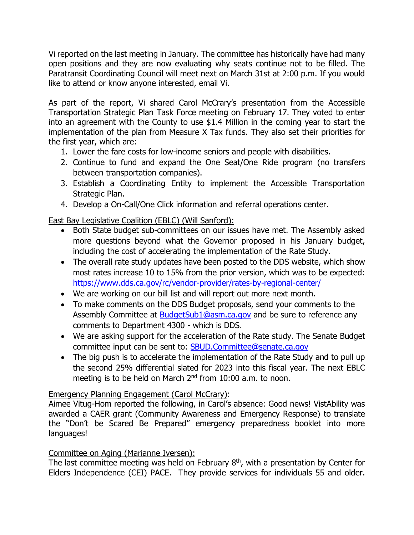Vi reported on the last meeting in January. The committee has historically have had many open positions and they are now evaluating why seats continue not to be filled. The Paratransit Coordinating Council will meet next on March 31st at 2:00 p.m. If you would like to attend or know anyone interested, email Vi.

As part of the report, Vi shared Carol McCrary's presentation from the Accessible Transportation Strategic Plan Task Force meeting on February 17. They voted to enter into an agreement with the County to use \$1.4 Million in the coming year to start the implementation of the plan from Measure X Tax funds. They also set their priorities for the first year, which are:

- 1. Lower the fare costs for low-income seniors and people with disabilities.
- 2. Continue to fund and expand the One Seat/One Ride program (no transfers between transportation companies).
- 3. Establish a Coordinating Entity to implement the Accessible Transportation Strategic Plan.
- 4. Develop a On-Call/One Click information and referral operations center.

East Bay Legislative Coalition (EBLC) (Will Sanford):

- Both State budget sub-committees on our issues have met. The Assembly asked more questions beyond what the Governor proposed in his January budget, including the cost of accelerating the implementation of the Rate Study.
- The overall rate study updates have been posted to the DDS website, which show most rates increase 10 to 15% from the prior version, which was to be expected: <https://www.dds.ca.gov/rc/vendor-provider/rates-by-regional-center/>
- We are working on our bill list and will report out more next month.
- To make comments on the DDS Budget proposals, send your comments to the Assembly Committee at [BudgetSub1@asm.ca.gov](mailto:BudgetSub1@asm.ca.gov) and be sure to reference any comments to Department 4300 - which is DDS.
- We are asking support for the acceleration of the Rate study. The Senate Budget committee input can be sent to: [SBUD.Committee@senate.ca.gov](mailto:SBUD.Committee@senate.ca.gov)
- The big push is to accelerate the implementation of the Rate Study and to pull up the second 25% differential slated for 2023 into this fiscal year. The next EBLC meeting is to be held on March 2<sup>nd</sup> from 10:00 a.m. to noon.

# Emergency Planning Engagement (Carol McCrary):

Aimee Vitug-Hom reported the following, in Carol's absence: Good news! VistAbility was awarded a CAER grant (Community Awareness and Emergency Response) to translate the "Don't be Scared Be Prepared" emergency preparedness booklet into more languages!

# Committee on Aging (Marianne Iversen):

The last committee meeting was held on February  $8<sup>th</sup>$ , with a presentation by Center for Elders Independence (CEI) PACE. They provide services for individuals 55 and older.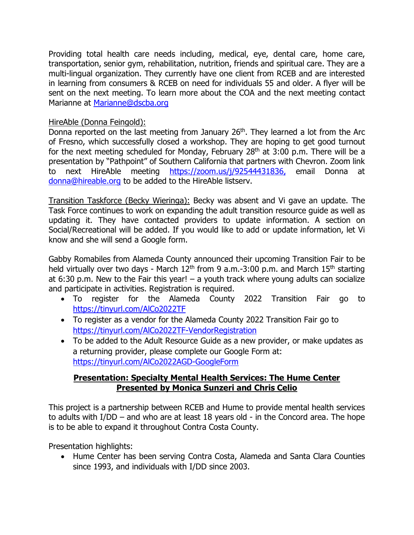Providing total health care needs including, medical, eye, dental care, home care, transportation, senior gym, rehabilitation, nutrition, friends and spiritual care. They are a multi-lingual organization. They currently have one client from RCEB and are interested in learning from consumers & RCEB on need for individuals 55 and older. A flyer will be sent on the next meeting. To learn more about the COA and the next meeting contact Marianne at [Marianne@dscba.org](mailto:Marianne@dscba.org)

## HireAble (Donna Feingold):

Donna reported on the last meeting from January 26<sup>th</sup>. They learned a lot from the Arc of Fresno, which successfully closed a workshop. They are hoping to get good turnout for the next meeting scheduled for Monday, February  $28<sup>th</sup>$  at  $3:00$  p.m. There will be a presentation by "Pathpoint" of Southern California that partners with Chevron. Zoom link to next HireAble meeting [https://zoom.us/j/92544431836,](https://zoom.us/j/92544431836) email Donna at [donna@hireable.org](mailto:donna@hireable.org) to be added to the HireAble listserv.

Transition Taskforce (Becky Wieringa): Becky was absent and Vi gave an update. The Task Force continues to work on expanding the adult transition resource guide as well as updating it. They have contacted providers to update information. A section on Social/Recreational will be added. If you would like to add or update information, let Vi know and she will send a Google form.

Gabby Romabiles from Alameda County announced their upcoming Transition Fair to be held virtually over two days - March  $12<sup>th</sup>$  from 9 a.m.-3:00 p.m. and March  $15<sup>th</sup>$  starting at 6:30 p.m. New to the Fair this year!  $-$  a youth track where young adults can socialize and participate in activities. Registration is required.

- To register for the Alameda County 2022 Transition Fair go to <https://tinyurl.com/AlCo2022TF>
- To register as a vendor for the Alameda County 2022 Transition Fair go to <https://tinyurl.com/AlCo2022TF-VendorRegistration>
- To be added to the Adult Resource Guide as a new provider, or make updates as a returning provider, please complete our Google Form at: <https://tinyurl.com/AlCo2022AGD-GoogleForm>

### **Presentation: Specialty Mental Health Services: The Hume Center Presented by Monica Sunzeri and Chris Celio**

This project is a partnership between RCEB and Hume to provide mental health services to adults with I/DD – and who are at least 18 years old - in the Concord area. The hope is to be able to expand it throughout Contra Costa County.

Presentation highlights:

• Hume Center has been serving Contra Costa, Alameda and Santa Clara Counties since 1993, and individuals with I/DD since 2003.